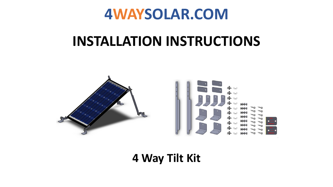

#### **INSTALLATION INSTRUCTIONS**



**4 Way Tilt Kit**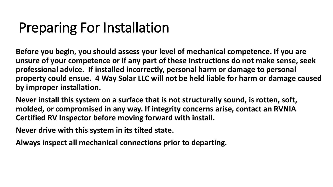# Preparing For Installation

**Before you begin, you should assess your level of mechanical competence. If you are unsure of your competence or if any part of these instructions do not make sense, seek professional advice. If installed incorrectly, personal harm or damage to personal property could ensue. 4 Way Solar LLC will not be held liable for harm or damage caused by improper installation.**

**Never install this system on a surface that is not structurally sound, is rotten, soft, molded, or compromised in any way. If integrity concerns arise, contact an RVNIA Certified RV Inspector before moving forward with install.**

**Never drive with this system in its tilted state.** 

**Always inspect all mechanical connections prior to departing.**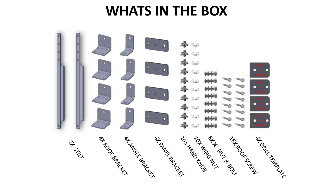#### **WHATS IN THE BOX**

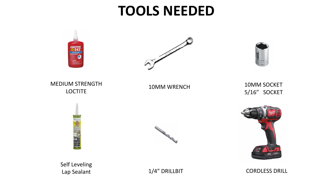#### **TOOLS NEEDED**



Lap Sealant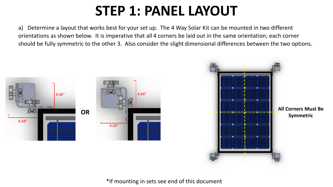# **STEP 1: PANEL LAYOUT**

a) Determine a layout that works best for your set up. The 4 Way Solar Kit can be mounted in two different orientations as shown below. It is imperative that all 4 corners be laid out in the same orientation; each corner should be fully symmetric to the other 3. Also consider the slight dimensional differences between the two options.





\*If mounting in sets see end of this document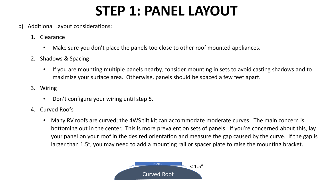# **STEP 1: PANEL LAYOUT**

#### b) Additional Layout considerations:

- 1. Clearance
	- Make sure you don't place the panels too close to other roof mounted appliances.
- 2. Shadows & Spacing
	- If you are mounting multiple panels nearby, consider mounting in sets to avoid casting shadows and to maximize your surface area. Otherwise, panels should be spaced a few feet apart.
- 3. Wiring
	- Don't configure your wiring until step 5.
- 4. Curved Roofs
	- Many RV roofs are curved; the 4WS tilt kit can accommodate moderate curves. The main concern is bottoming out in the center. This is more prevalent on sets of panels. If you're concerned about this, lay your panel on your roof in the desired orientation and measure the gap caused by the curve. If the gap is larger than 1.5", you may need to add a mounting rail or spacer plate to raise the mounting bracket.

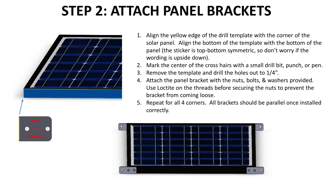## **STEP 2: ATTACH PANEL BRACKETS**



- 1. Align the yellow edge of the drill template with the corner of the solar panel. Align the bottom of the template with the bottom of the panel (the sticker is top-bottom symmetric, so don't worry if the wording is upside down).
- 2. Mark the center of the cross hairs with a small drill bit, punch, or pen.
- 3. Remove the template and drill the holes out to 1/4".
- 4. Attach the panel bracket with the nuts, bolts, & washers provided. Use Loctite on the threads before securing the nuts to prevent the bracket from coming loose.
- 5. Repeat for all 4 corners. All brackets should be parallel once installed correctly.



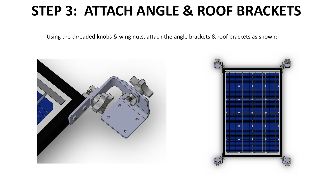#### **STEP 3: ATTACH ANGLE & ROOF BRACKETS**

Using the threaded knobs & wing nuts, attach the angle brackets & roof brackets as shown:



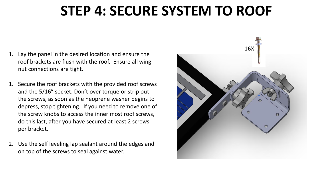### **STEP 4: SECURE SYSTEM TO ROOF**

- 1. Lay the panel in the desired location and ensure the roof brackets are flush with the roof. Ensure all wing nut connections are tight.
- 1. Secure the roof brackets with the provided roof screws and the 5/16" socket. Don't over torque or strip out the screws, as soon as the neoprene washer begins to depress, stop tightening. If you need to remove one of the screw knobs to access the inner most roof screws, do this last, after you have secured at least 2 screws per bracket.
- 2. Use the self leveling lap sealant around the edges and on top of the screws to seal against water.

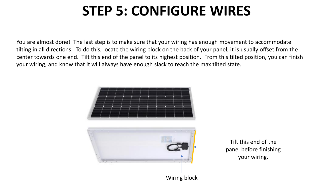## **STEP 5: CONFIGURE WIRES**

You are almost done! The last step is to make sure that your wiring has enough movement to accommodate tilting in all directions. To do this, locate the wiring block on the back of your panel, it is usually offset from the center towards one end. Tilt this end of the panel to its highest position. From this tilted position, you can finish your wiring, and know that it will always have enough slack to reach the max tilted state.

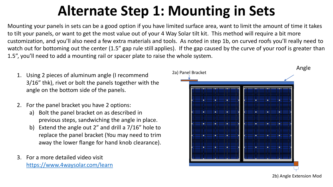# **Alternate Step 1: Mounting in Sets**

Mounting your panels in sets can be a good option if you have limited surface area, want to limit the amount of time it takes to tilt your panels, or want to get the most value out of your 4 Way Solar tilt kit. This method will require a bit more customization, and you'll also need a few extra materials and tools. As noted in step 1b, on curved roofs you'll really need to watch out for bottoming out the center (1.5" gap rule still applies). If the gap caused by the curve of your roof is greater than 1.5", you'll need to add a mounting rail or spacer plate to raise the whole system.

- 1. Using 2 pieces of aluminum angle (I recommend 3/16" thk), rivet or bolt the panels together with the angle on the bottom side of the panels.
- 2. For the panel bracket you have 2 options:
	- a) Bolt the panel bracket on as described in previous steps, sandwiching the angle in place.
	- b) Extend the angle out 2" and drill a 7/16" hole to replace the panel bracket (You may need to trim away the lower flange for hand knob clearance).
- 3. For a more detailed video visit [https://www.4waysolar.com/learn](https://www.youtube.com/watch?v=AlaQ4OvQ9Hw)



2b) Angle Extension Mod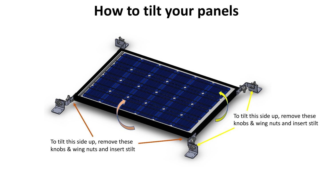#### **How to tilt your panels**